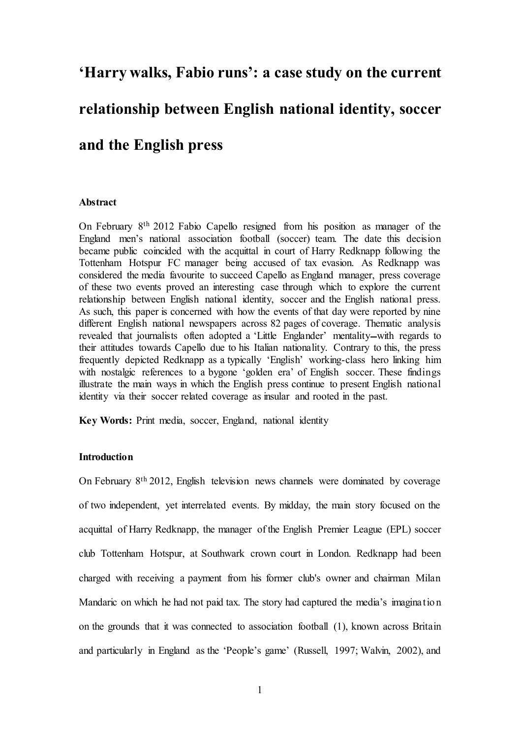### **'Harry walks, Fabio runs': a case study on the current**

# **relationship between English national identity, soccer**

### **and the English press**

#### **Abstract**

On February 8th 2012 Fabio Capello resigned from his position as manager of the England men's national association football (soccer) team. The date this decision became public coincided with the acquittal in court of Harry Redknapp following the Tottenham Hotspur FC manager being accused of tax evasion. As Redknapp was considered the media favourite to succeed Capello as England manager, press coverage of these two events proved an interesting case through which to explore the current relationship between English national identity, soccer and the English national press. As such, this paper is concerned with how the events of that day were reported by nine different English national newspapers across 82 pages of coverage. Thematic analysis revealed that journalists often adopted a 'Little Englander' mentality—with regards to their attitudes towards Capello due to his Italian nationality. Contrary to this, the press frequently depicted Redknapp as a typically 'English' working-class hero linking him with nostalgic references to a bygone 'golden era' of English soccer. These findings illustrate the main ways in which the English press continue to present English national identity via their soccer related coverage as insular and rooted in the past.

**Key Words:** Print media, soccer, England, national identity

#### **Introduction**

On February 8th 2012, English television news channels were dominated by coverage of two independent, yet interrelated events. By midday, the main story focused on the acquittal of Harry Redknapp, the manager of the English Premier League (EPL) soccer club Tottenham Hotspur, at Southwark crown court in London. Redknapp had been charged with receiving a payment from his former club's owner and chairman Milan Mandaric on which he had not paid tax. The story had captured the media's imagination on the grounds that it was connected to association football (1), known across Britain and particularly in England as the 'People's game' (Russell, 1997; Walvin, 2002), and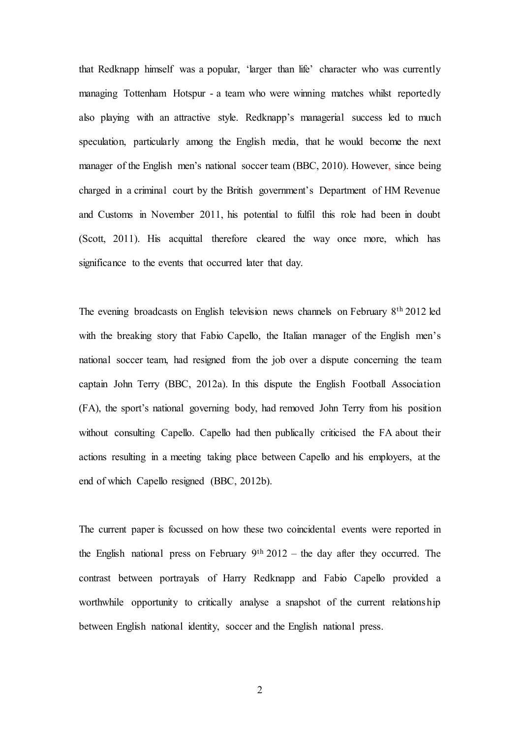that Redknapp himself was a popular, 'larger than life' character who was currently managing Tottenham Hotspur - a team who were winning matches whilst reportedly also playing with an attractive style. Redknapp's managerial success led to much speculation, particularly among the English media, that he would become the next manager of the English men's national soccer team (BBC, 2010). However, since being charged in a criminal court by the British government's Department of HM Revenue and Customs in November 2011, his potential to fulfil this role had been in doubt (Scott, 2011). His acquittal therefore cleared the way once more, which has significance to the events that occurred later that day.

The evening broadcasts on English television news channels on February 8th 2012 led with the breaking story that Fabio Capello, the Italian manager of the English men's national soccer team, had resigned from the job over a dispute concerning the team captain John Terry (BBC, 2012a). In this dispute the English Football Association (FA), the sport's national governing body, had removed John Terry from his position without consulting Capello. Capello had then publically criticised the FA about their actions resulting in a meeting taking place between Capello and his employers, at the end of which Capello resigned (BBC, 2012b).

The current paper is focussed on how these two coincidental events were reported in the English national press on February  $9<sup>th</sup> 2012$  – the day after they occurred. The contrast between portrayals of Harry Redknapp and Fabio Capello provided a worthwhile opportunity to critically analyse a snapshot of the current relationship between English national identity, soccer and the English national press.

2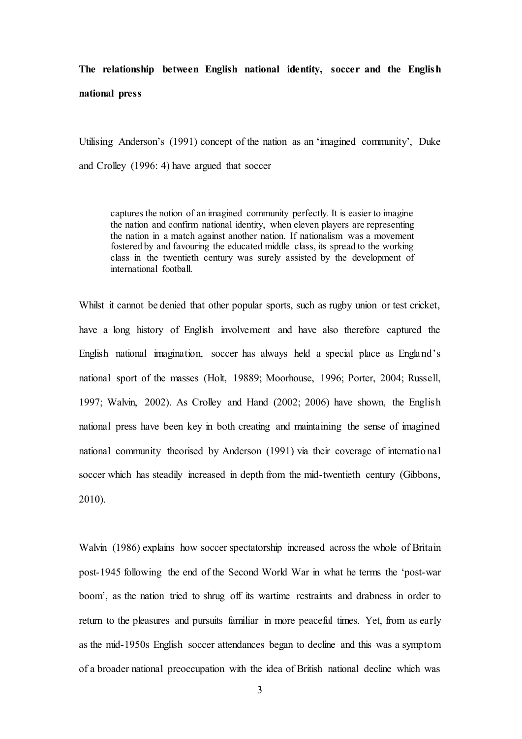## **The relationship between English national identity, soccer and the English national press**

Utilising Anderson's (1991) concept of the nation as an 'imagined community', Duke and Crolley (1996: 4) have argued that soccer

captures the notion of an imagined community perfectly. It is easier to imagine the nation and confirm national identity, when eleven players are representing the nation in a match against another nation. If nationalism was a movement fostered by and favouring the educated middle class, its spread to the working class in the twentieth century was surely assisted by the development of international football.

Whilst it cannot be denied that other popular sports, such as rugby union or test cricket, have a long history of English involvement and have also therefore captured the English national imagination, soccer has always held a special place as England's national sport of the masses (Holt, 19889; Moorhouse, 1996; Porter, 2004; Russell, 1997; Walvin, 2002). As Crolley and Hand (2002; 2006) have shown, the English national press have been key in both creating and maintaining the sense of imagined national community theorised by Anderson (1991) via their coverage of international soccer which has steadily increased in depth from the mid-twentieth century (Gibbons, 2010).

Walvin (1986) explains how soccer spectatorship increased across the whole of Britain post-1945 following the end of the Second World War in what he terms the 'post-war boom', as the nation tried to shrug off its wartime restraints and drabness in order to return to the pleasures and pursuits familiar in more peaceful times. Yet, from as early as the mid-1950s English soccer attendances began to decline and this was a symptom of a broader national preoccupation with the idea of British national decline which was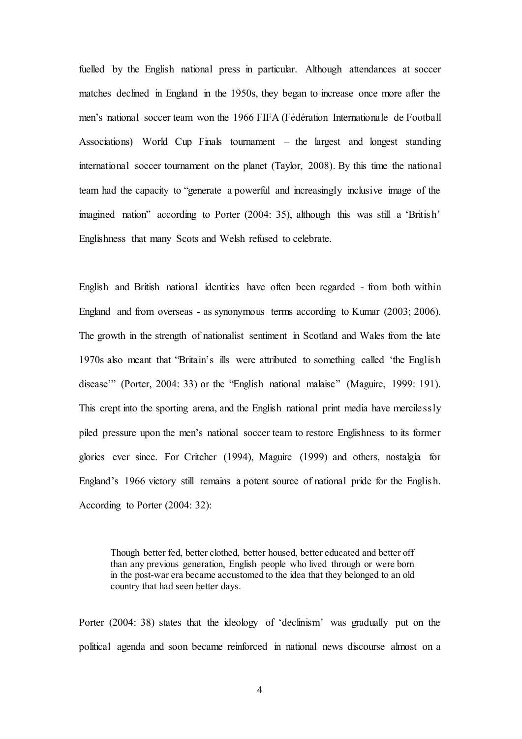fuelled by the English national press in particular. Although attendances at soccer matches declined in England in the 1950s, they began to increase once more after the men's national soccer team won the 1966 FIFA (Fédération Internationale de Football Associations) World Cup Finals tournament – the largest and longest standing international soccer tournament on the planet (Taylor, 2008). By this time the national team had the capacity to "generate a powerful and increasingly inclusive image of the imagined nation" according to Porter (2004: 35), although this was still a 'British' Englishness that many Scots and Welsh refused to celebrate.

English and British national identities have often been regarded - from both within England and from overseas - as synonymous terms according to Kumar (2003; 2006). The growth in the strength of nationalist sentiment in Scotland and Wales from the late 1970s also meant that "Britain's ills were attributed to something called 'the English disease'" (Porter, 2004: 33) or the "English national malaise" (Maguire, 1999: 191). This crept into the sporting arena, and the English national print media have mercilessly piled pressure upon the men's national soccer team to restore Englishness to its former glories ever since. For Critcher (1994), Maguire (1999) and others, nostalgia for England's 1966 victory still remains a potent source of national pride for the English. According to Porter (2004: 32):

Though better fed, better clothed, better housed, better educated and better off than any previous generation, English people who lived through or were born in the post-war era became accustomed to the idea that they belonged to an old country that had seen better days.

Porter (2004: 38) states that the ideology of 'declinism' was gradually put on the political agenda and soon became reinforced in national news discourse almost on a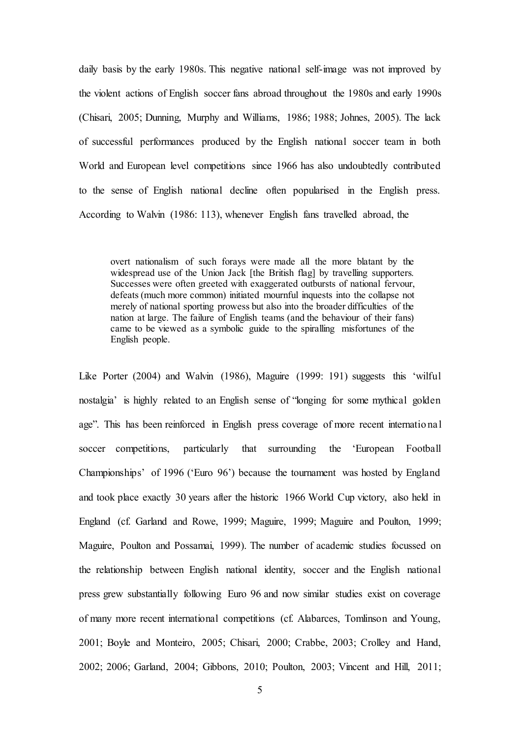daily basis by the early 1980s. This negative national self-image was not improved by the violent actions of English soccer fans abroad throughout the 1980s and early 1990s (Chisari, 2005; Dunning, Murphy and Williams, 1986; 1988; Johnes, 2005). The lack of successful performances produced by the English national soccer team in both World and European level competitions since 1966 has also undoubtedly contributed to the sense of English national decline often popularised in the English press. According to Walvin (1986: 113), whenever English fans travelled abroad, the

overt nationalism of such forays were made all the more blatant by the widespread use of the Union Jack [the British flag] by travelling supporters. Successes were often greeted with exaggerated outbursts of national fervour, defeats (much more common) initiated mournful inquests into the collapse not merely of national sporting prowess but also into the broader difficulties of the nation at large. The failure of English teams (and the behaviour of their fans) came to be viewed as a symbolic guide to the spiralling misfortunes of the English people.

Like Porter (2004) and Walvin (1986), Maguire (1999: 191) suggests this 'wilful nostalgia' is highly related to an English sense of "longing for some mythical golden age". This has been reinforced in English press coverage of more recent international soccer competitions, particularly that surrounding the 'European Football Championships' of 1996 ('Euro 96') because the tournament was hosted by England and took place exactly 30 years after the historic 1966 World Cup victory, also held in England (cf. Garland and Rowe, 1999; Maguire, 1999; Maguire and Poulton, 1999; Maguire, Poulton and Possamai, 1999). The number of academic studies focussed on the relationship between English national identity, soccer and the English national press grew substantially following Euro 96 and now similar studies exist on coverage of many more recent international competitions (cf. Alabarces, Tomlinson and Young, 2001; Boyle and Monteiro, 2005; Chisari, 2000; Crabbe, 2003; Crolley and Hand, 2002; 2006; Garland, 2004; Gibbons, 2010; Poulton, 2003; Vincent and Hill, 2011;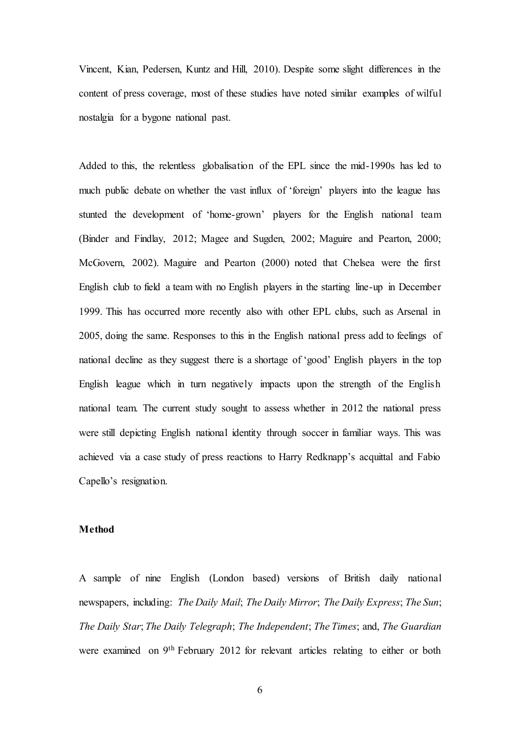Vincent, Kian, Pedersen, Kuntz and Hill, 2010). Despite some slight differences in the content of press coverage, most of these studies have noted similar examples of wilful nostalgia for a bygone national past.

Added to this, the relentless globalisation of the EPL since the mid-1990s has led to much public debate on whether the vast influx of 'foreign' players into the league has stunted the development of 'home-grown' players for the English national team (Binder and Findlay, 2012; Magee and Sugden, 2002; Maguire and Pearton, 2000; McGovern, 2002). Maguire and Pearton (2000) noted that Chelsea were the first English club to field a team with no English players in the starting line-up in December 1999. This has occurred more recently also with other EPL clubs, such as Arsenal in 2005, doing the same. Responses to this in the English national press add to feelings of national decline as they suggest there is a shortage of 'good' English players in the top English league which in turn negatively impacts upon the strength of the English national team. The current study sought to assess whether in 2012 the national press were still depicting English national identity through soccer in familiar ways. This was achieved via a case study of press reactions to Harry Redknapp's acquittal and Fabio Capello's resignation.

#### **Method**

A sample of nine English (London based) versions of British daily national newspapers, including: *The Daily Mail*; *The Daily Mirror*; *The Daily Express*; *The Sun*; *The Daily Star*; *The Daily Telegraph*; *The Independent*; *The Times*; and, *The Guardian*  were examined on 9th February 2012 for relevant articles relating to either or both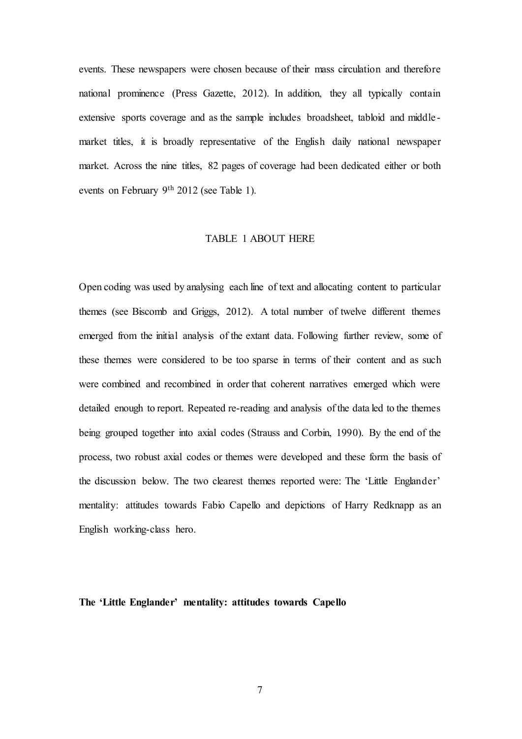events. These newspapers were chosen because of their mass circulation and therefore national prominence (Press Gazette, 2012). In addition, they all typically contain extensive sports coverage and as the sample includes broadsheet, tabloid and middle market titles, it is broadly representative of the English daily national newspaper market. Across the nine titles, 82 pages of coverage had been dedicated either or both events on February 9th 2012 (see Table 1).

#### TABLE 1 ABOUT HERE

Open coding was used by analysing each line of text and allocating content to particular themes (see Biscomb and Griggs, 2012). A total number of twelve different themes emerged from the initial analysis of the extant data. Following further review, some of these themes were considered to be too sparse in terms of their content and as such were combined and recombined in order that coherent narratives emerged which were detailed enough to report. Repeated re-reading and analysis of the data led to the themes being grouped together into axial codes (Strauss and Corbin, 1990). By the end of the process, two robust axial codes or themes were developed and these form the basis of the discussion below. The two clearest themes reported were: The 'Little Englander' mentality: attitudes towards Fabio Capello and depictions of Harry Redknapp as an English working-class hero.

**The 'Little Englander' mentality: attitudes towards Capello**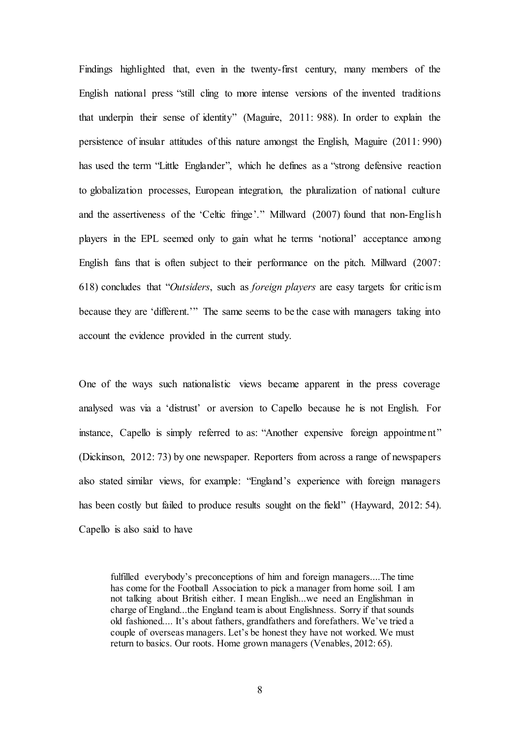Findings highlighted that, even in the twenty-first century, many members of the English national press "still cling to more intense versions of the invented traditions that underpin their sense of identity" (Maguire, 2011: 988). In order to explain the persistence of insular attitudes of this nature amongst the English, Maguire (2011: 990) has used the term "Little Englander", which he defines as a "strong defensive reaction to globalization processes, European integration, the pluralization of national culture and the assertiveness of the 'Celtic fringe'." Millward (2007) found that non-English players in the EPL seemed only to gain what he terms 'notional' acceptance among English fans that is often subject to their performance on the pitch. Millward (2007: 618) concludes that "*Outsiders*, such as *foreign players* are easy targets for criticism because they are 'different.'" The same seems to be the case with managers taking into account the evidence provided in the current study.

One of the ways such nationalistic views became apparent in the press coverage analysed was via a 'distrust' or aversion to Capello because he is not English. For instance, Capello is simply referred to as: "Another expensive foreign appointment" (Dickinson, 2012: 73) by one newspaper. Reporters from across a range of newspapers also stated similar views, for example: "England's experience with foreign managers has been costly but failed to produce results sought on the field" (Hayward, 2012: 54). Capello is also said to have

fulfilled everybody's preconceptions of him and foreign managers....The time has come for the Football Association to pick a manager from home soil. I am not talking about British either. I mean English...we need an Englishman in charge of England...the England team is about Englishness. Sorry if that sounds old fashioned.... It's about fathers, grandfathers and forefathers. We've tried a couple of overseas managers. Let's be honest they have not worked. We must return to basics. Our roots. Home grown managers (Venables, 2012: 65).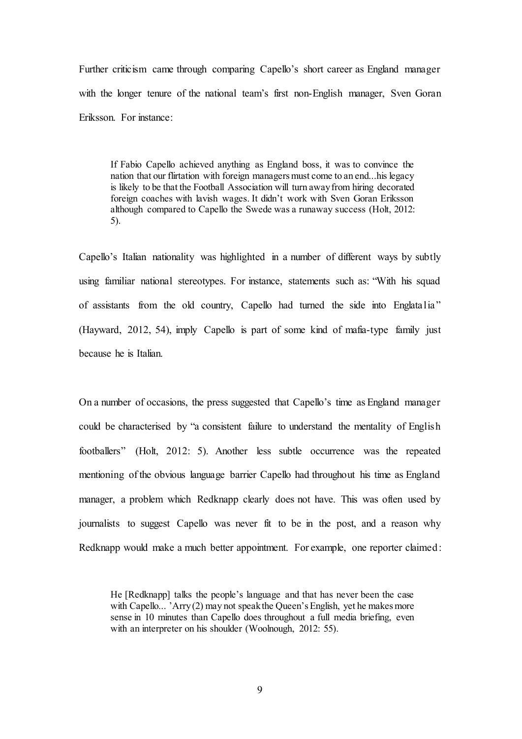Further criticism came through comparing Capello's short career as England manager with the longer tenure of the national team's first non-English manager, Sven Goran Eriksson. For instance:

If Fabio Capello achieved anything as England boss, it was to convince the nation that our flirtation with foreign managers must come to an end...his legacy is likely to be that the Football Association will turn away from hiring decorated foreign coaches with lavish wages. It didn't work with Sven Goran Eriksson although compared to Capello the Swede was a runaway success (Holt, 2012: 5).

Capello's Italian nationality was highlighted in a number of different ways by subtly using familiar national stereotypes. For instance, statements such as: "With his squad of assistants from the old country, Capello had turned the side into Englatalia" (Hayward, 2012, 54), imply Capello is part of some kind of mafia-type family just because he is Italian.

On a number of occasions, the press suggested that Capello's time as England manager could be characterised by "a consistent failure to understand the mentality of English footballers" (Holt, 2012: 5). Another less subtle occurrence was the repeated mentioning of the obvious language barrier Capello had throughout his time as England manager, a problem which Redknapp clearly does not have. This was often used by journalists to suggest Capello was never fit to be in the post, and a reason why Redknapp would make a much better appointment. For example, one reporter claimed:

He [Redknapp] talks the people's language and that has never been the case with Capello... 'Arry (2) may not speak the Queen's English, yet he makes more sense in 10 minutes than Capello does throughout a full media briefing, even with an interpreter on his shoulder (Woolnough, 2012: 55).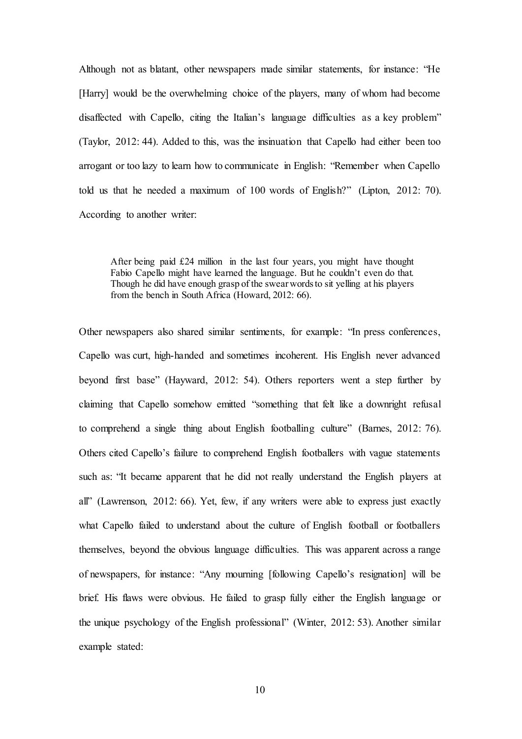Although not as blatant, other newspapers made similar statements, for instance: "He [Harry] would be the overwhelming choice of the players, many of whom had become disaffected with Capello, citing the Italian's language difficulties as a key problem" (Taylor, 2012: 44). Added to this, was the insinuation that Capello had either been too arrogant or too lazy to learn how to communicate in English: "Remember when Capello told us that he needed a maximum of 100 words of English?" (Lipton, 2012: 70). According to another writer:

After being paid £24 million in the last four years, you might have thought Fabio Capello might have learned the language. But he couldn't even do that. Though he did have enough grasp of the swear words to sit yelling at his players from the bench in South Africa (Howard, 2012: 66).

Other newspapers also shared similar sentiments, for example: "In press conferences, Capello was curt, high-handed and sometimes incoherent. His English never advanced beyond first base" (Hayward, 2012: 54). Others reporters went a step further by claiming that Capello somehow emitted "something that felt like a downright refusal to comprehend a single thing about English footballing culture" (Barnes, 2012: 76). Others cited Capello's failure to comprehend English footballers with vague statements such as: "It became apparent that he did not really understand the English players at all" (Lawrenson, 2012: 66). Yet, few, if any writers were able to express just exactly what Capello failed to understand about the culture of English football or footballers themselves, beyond the obvious language difficulties. This was apparent across a range of newspapers, for instance: "Any mourning [following Capello's resignation] will be brief. His flaws were obvious. He failed to grasp fully either the English language or the unique psychology of the English professional" (Winter, 2012: 53). Another similar example stated: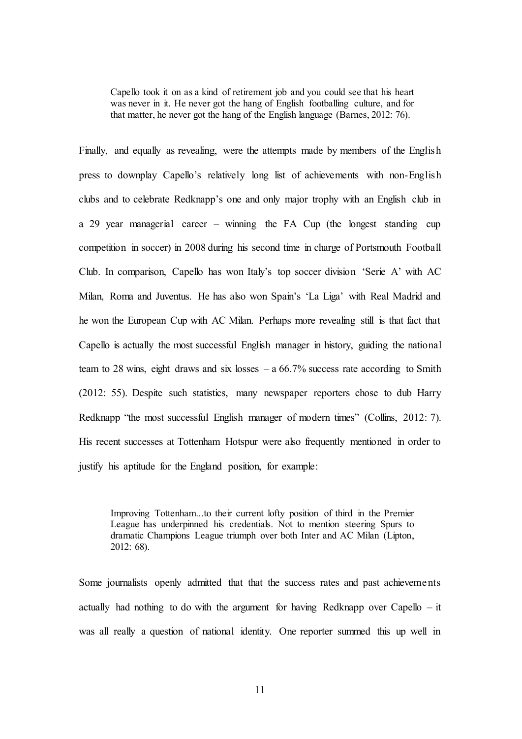Capello took it on as a kind of retirement job and you could see that his heart was never in it. He never got the hang of English footballing culture, and for that matter, he never got the hang of the English language (Barnes, 2012: 76).

Finally, and equally as revealing, were the attempts made by members of the English press to downplay Capello's relatively long list of achievements with non-English clubs and to celebrate Redknapp's one and only major trophy with an English club in a 29 year managerial career – winning the FA Cup (the longest standing cup competition in soccer) in 2008 during his second time in charge of Portsmouth Football Club. In comparison, Capello has won Italy's top soccer division 'Serie A' with AC Milan, Roma and Juventus. He has also won Spain's 'La Liga' with Real Madrid and he won the European Cup with AC Milan. Perhaps more revealing still is that fact that Capello is actually the most successful English manager in history, guiding the national team to 28 wins, eight draws and six losses  $- a 66.7\%$  success rate according to Smith (2012: 55). Despite such statistics, many newspaper reporters chose to dub Harry Redknapp "the most successful English manager of modern times" (Collins, 2012: 7). His recent successes at Tottenham Hotspur were also frequently mentioned in order to justify his aptitude for the England position, for example:

Improving Tottenham...to their current lofty position of third in the Premier League has underpinned his credentials. Not to mention steering Spurs to dramatic Champions League triumph over both Inter and AC Milan (Lipton, 2012: 68).

Some journalists openly admitted that that the success rates and past achievements actually had nothing to do with the argument for having Redknapp over Capello – it was all really a question of national identity. One reporter summed this up well in

11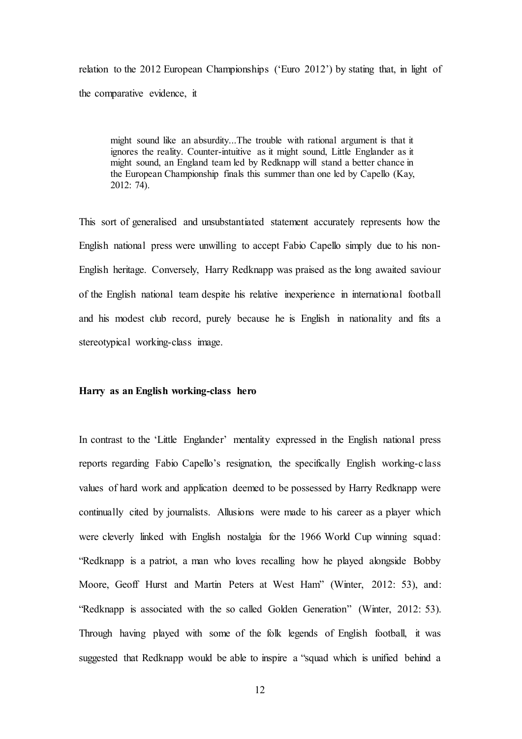relation to the 2012 European Championships ('Euro 2012') by stating that, in light of the comparative evidence, it

might sound like an absurdity...The trouble with rational argument is that it ignores the reality. Counter-intuitive as it might sound, Little Englander as it might sound, an England team led by Redknapp will stand a better chance in the European Championship finals this summer than one led by Capello (Kay, 2012: 74).

This sort of generalised and unsubstantiated statement accurately represents how the English national press were unwilling to accept Fabio Capello simply due to his non-English heritage. Conversely, Harry Redknapp was praised as the long awaited saviour of the English national team despite his relative inexperience in international football and his modest club record, purely because he is English in nationality and fits a stereotypical working-class image.

#### **Harry as an English working-class hero**

In contrast to the 'Little Englander' mentality expressed in the English national press reports regarding Fabio Capello's resignation, the specifically English working-class values of hard work and application deemed to be possessed by Harry Redknapp were continually cited by journalists. Allusions were made to his career as a player which were cleverly linked with English nostalgia for the 1966 World Cup winning squad: "Redknapp is a patriot, a man who loves recalling how he played alongside Bobby Moore, Geoff Hurst and Martin Peters at West Ham" (Winter, 2012: 53), and: "Redknapp is associated with the so called Golden Generation" (Winter, 2012: 53). Through having played with some of the folk legends of English football, it was suggested that Redknapp would be able to inspire a "squad which is unified behind a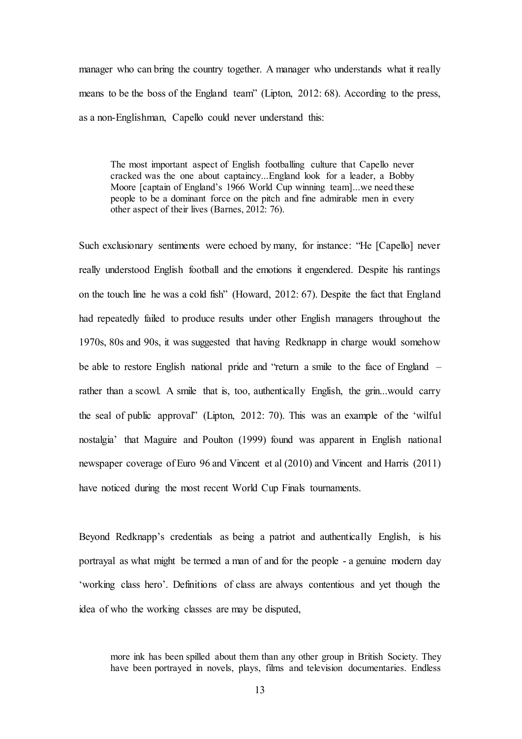manager who can bring the country together. A manager who understands what it really means to be the boss of the England team" (Lipton, 2012: 68). According to the press, as a non-Englishman, Capello could never understand this:

The most important aspect of English footballing culture that Capello never cracked was the one about captaincy...England look for a leader, a Bobby Moore [captain of England's 1966 World Cup winning team]...we need these people to be a dominant force on the pitch and fine admirable men in every other aspect of their lives (Barnes, 2012: 76).

Such exclusionary sentiments were echoed by many, for instance: "He [Capello] never really understood English football and the emotions it engendered. Despite his rantings on the touch line he was a cold fish" (Howard, 2012: 67). Despite the fact that England had repeatedly failed to produce results under other English managers throughout the 1970s, 80s and 90s, it was suggested that having Redknapp in charge would somehow be able to restore English national pride and "return a smile to the face of England – rather than a scowl. A smile that is, too, authentically English, the grin...would carry the seal of public approval" (Lipton, 2012: 70). This was an example of the 'wilful nostalgia' that Maguire and Poulton (1999) found was apparent in English national newspaper coverage of Euro 96 and Vincent et al (2010) and Vincent and Harris (2011) have noticed during the most recent World Cup Finals tournaments.

Beyond Redknapp's credentials as being a patriot and authentically English, is his portrayal as what might be termed a man of and for the people - a genuine modern day 'working class hero'. Definitions of class are always contentious and yet though the idea of who the working classes are may be disputed,

more ink has been spilled about them than any other group in British Society. They have been portrayed in novels, plays, films and television documentaries. Endless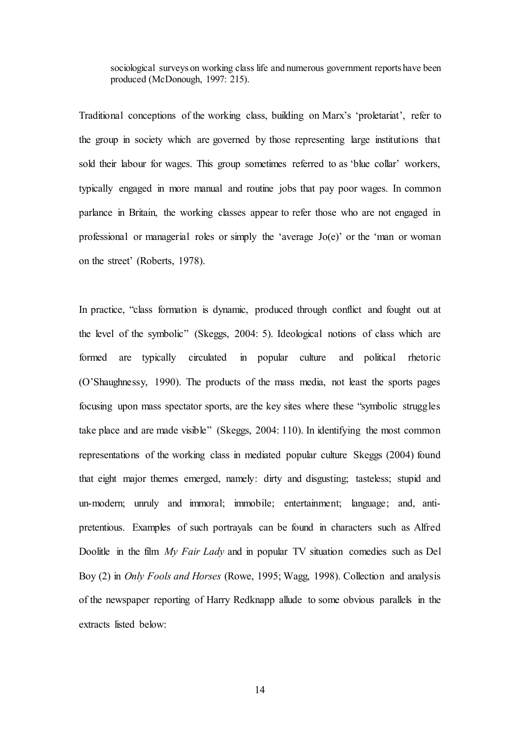sociological surveys on working class life and numerous government reports have been produced (McDonough, 1997: 215).

Traditional conceptions of the working class, building on Marx's 'proletariat', refer to the group in society which are governed by those representing large institutions that sold their labour for wages. This group sometimes referred to as 'blue collar' workers, typically engaged in more manual and routine jobs that pay poor wages. In common parlance in Britain, the working classes appear to refer those who are not engaged in professional or managerial roles or simply the 'average Jo(e)' or the 'man or woman on the street' (Roberts, 1978).

In practice, "class formation is dynamic, produced through conflict and fought out at the level of the symbolic" (Skeggs, 2004: 5). Ideological notions of class which are formed are typically circulated in popular culture and political rhetoric (O'Shaughnessy, 1990). The products of the mass media, not least the sports pages focusing upon mass spectator sports, are the key sites where these "symbolic struggles take place and are made visible" (Skeggs, 2004: 110). In identifying the most common representations of the working class in mediated popular culture Skeggs (2004) found that eight major themes emerged, namely: dirty and disgusting; tasteless; stupid and un-modern; unruly and immoral; immobile; entertainment; language; and, antipretentious. Examples of such portrayals can be found in characters such as Alfred Doolitle in the film *My Fair Lady* and in popular TV situation comedies such as Del Boy (2) in *Only Fools and Horses* (Rowe, 1995; Wagg, 1998). Collection and analysis of the newspaper reporting of Harry Redknapp allude to some obvious parallels in the extracts listed below: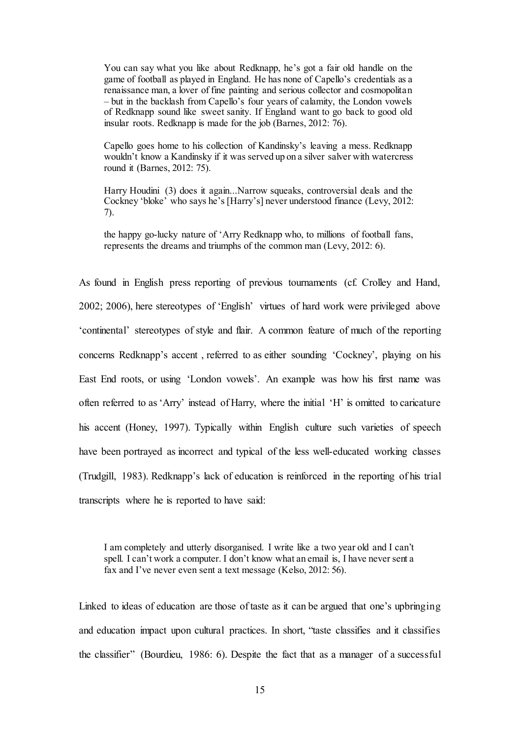You can say what you like about Redknapp, he's got a fair old handle on the game of football as played in England. He has none of Capello's credentials as a renaissance man, a lover of fine painting and serious collector and cosmopolitan – but in the backlash from Capello's four years of calamity, the London vowels of Redknapp sound like sweet sanity. If England want to go back to good old insular roots. Redknapp is made for the job (Barnes, 2012: 76).

Capello goes home to his collection of Kandinsky's leaving a mess. Redknapp wouldn't know a Kandinsky if it was served up on a silver salver with watercress round it (Barnes, 2012: 75).

Harry Houdini (3) does it again...Narrow squeaks, controversial deals and the Cockney 'bloke' who says he's [Harry's] never understood finance (Levy, 2012: 7).

the happy go-lucky nature of 'Arry Redknapp who, to millions of football fans, represents the dreams and triumphs of the common man (Levy, 2012: 6).

As found in English press reporting of previous tournaments (cf. Crolley and Hand, 2002; 2006), here stereotypes of 'English' virtues of hard work were privileged above 'continental' stereotypes of style and flair. A common feature of much of the reporting concerns Redknapp's accent , referred to as either sounding 'Cockney', playing on his East End roots, or using 'London vowels'. An example was how his first name was often referred to as 'Arry' instead of Harry, where the initial 'H' is omitted to caricature his accent (Honey, 1997). Typically within English culture such varieties of speech have been portrayed as incorrect and typical of the less well-educated working classes (Trudgill, 1983). Redknapp's lack of education is reinforced in the reporting of his trial transcripts where he is reported to have said:

I am completely and utterly disorganised. I write like a two year old and I can't spell. I can't work a computer. I don't know what an email is, I have never sent a fax and I've never even sent a text message (Kelso, 2012: 56).

Linked to ideas of education are those of taste as it can be argued that one's upbringing and education impact upon cultural practices. In short, "taste classifies and it classifies the classifier" (Bourdieu, 1986: 6). Despite the fact that as a manager of a successful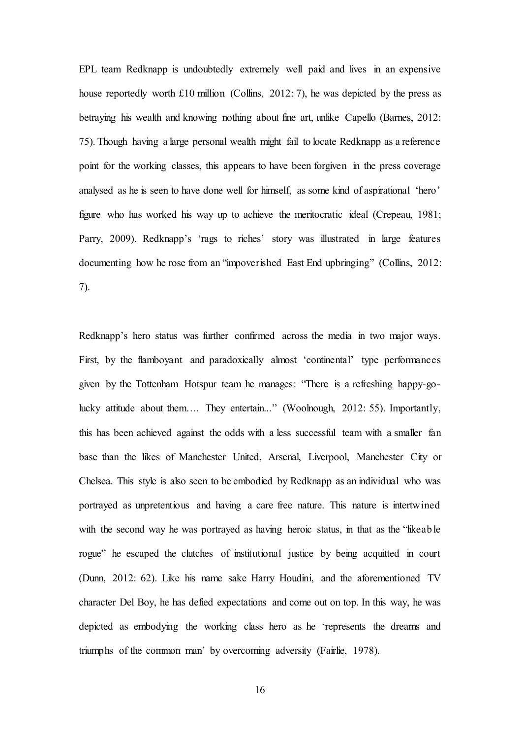EPL team Redknapp is undoubtedly extremely well paid and lives in an expensive house reportedly worth £10 million (Collins, 2012: 7), he was depicted by the press as betraying his wealth and knowing nothing about fine art, unlike Capello (Barnes, 2012: 75). Though having a large personal wealth might fail to locate Redknapp as a reference point for the working classes, this appears to have been forgiven in the press coverage analysed as he is seen to have done well for himself, as some kind of aspirational 'hero' figure who has worked his way up to achieve the meritocratic ideal (Crepeau, 1981; Parry, 2009). Redknapp's 'rags to riches' story was illustrated in large features documenting how he rose from an "impoverished East End upbringing" (Collins, 2012: 7).

Redknapp's hero status was further confirmed across the media in two major ways. First, by the flamboyant and paradoxically almost 'continental' type performances given by the Tottenham Hotspur team he manages: "There is a refreshing happy-golucky attitude about them…. They entertain..." (Woolnough, 2012: 55). Importantly, this has been achieved against the odds with a less successful team with a smaller fan base than the likes of Manchester United, Arsenal, Liverpool, Manchester City or Chelsea. This style is also seen to be embodied by Redknapp as an individual who was portrayed as unpretentious and having a care free nature. This nature is intertwined with the second way he was portrayed as having heroic status, in that as the "likeable" rogue" he escaped the clutches of institutional justice by being acquitted in court (Dunn, 2012: 62). Like his name sake Harry Houdini, and the aforementioned TV character Del Boy, he has defied expectations and come out on top. In this way, he was depicted as embodying the working class hero as he 'represents the dreams and triumphs of the common man' by overcoming adversity (Fairlie, 1978).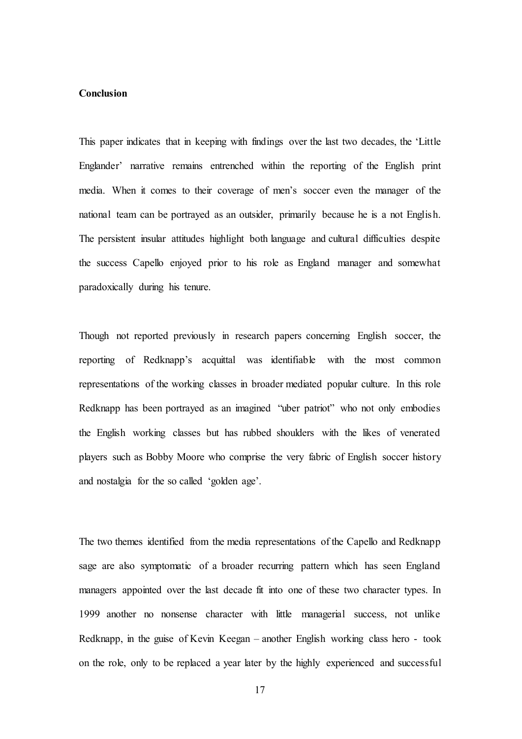#### **Conclusion**

This paper indicates that in keeping with findings over the last two decades, the 'Little Englander' narrative remains entrenched within the reporting of the English print media. When it comes to their coverage of men's soccer even the manager of the national team can be portrayed as an outsider, primarily because he is a not English. The persistent insular attitudes highlight both language and cultural difficulties despite the success Capello enjoyed prior to his role as England manager and somewhat paradoxically during his tenure.

Though not reported previously in research papers concerning English soccer, the reporting of Redknapp's acquittal was identifiable with the most common representations of the working classes in broader mediated popular culture. In this role Redknapp has been portrayed as an imagined "uber patriot" who not only embodies the English working classes but has rubbed shoulders with the likes of venerated players such as Bobby Moore who comprise the very fabric of English soccer history and nostalgia for the so called 'golden age'.

The two themes identified from the media representations of the Capello and Redknapp sage are also symptomatic of a broader recurring pattern which has seen England managers appointed over the last decade fit into one of these two character types. In 1999 another no nonsense character with little managerial success, not unlike Redknapp, in the guise of Kevin Keegan – another English working class hero - took on the role, only to be replaced a year later by the highly experienced and successful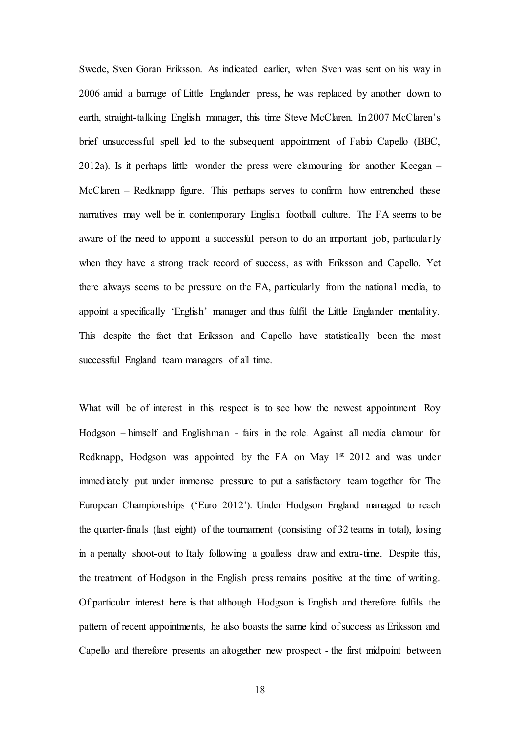Swede, Sven Goran Eriksson. As indicated earlier, when Sven was sent on his way in 2006 amid a barrage of Little Englander press, he was replaced by another down to earth, straight-talking English manager, this time Steve McClaren. In 2007 McClaren's brief unsuccessful spell led to the subsequent appointment of Fabio Capello (BBC, 2012a). Is it perhaps little wonder the press were clamouring for another Keegan – McClaren – Redknapp figure. This perhaps serves to confirm how entrenched these narratives may well be in contemporary English football culture. The FA seems to be aware of the need to appoint a successful person to do an important job, particularly when they have a strong track record of success, as with Eriksson and Capello. Yet there always seems to be pressure on the FA, particularly from the national media, to appoint a specifically 'English' manager and thus fulfil the Little Englander mentality. This despite the fact that Eriksson and Capello have statistically been the most successful England team managers of all time.

What will be of interest in this respect is to see how the newest appointment Roy Hodgson – himself and Englishman - fairs in the role. Against all media clamour for Redknapp, Hodgson was appointed by the FA on May  $1<sup>st</sup> 2012$  and was under immediately put under immense pressure to put a satisfactory team together for The European Championships ('Euro 2012'). Under Hodgson England managed to reach the quarter-finals (last eight) of the tournament (consisting of 32 teams in total), losing in a penalty shoot-out to Italy following a goalless draw and extra-time. Despite this, the treatment of Hodgson in the English press remains positive at the time of writing. Of particular interest here is that although Hodgson is English and therefore fulfils the pattern of recent appointments, he also boasts the same kind of success as Eriksson and Capello and therefore presents an altogether new prospect - the first midpoint between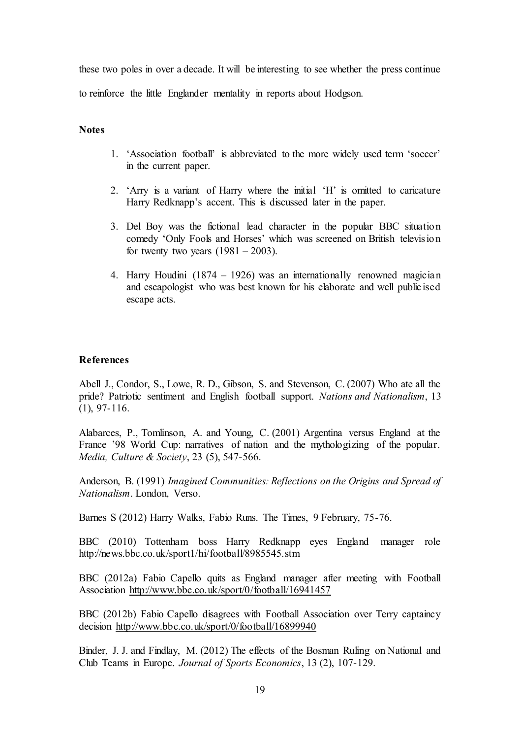these two poles in over a decade. It will be interesting to see whether the press continue to reinforce the little Englander mentality in reports about Hodgson.

#### **Notes**

- 1. 'Association football' is abbreviated to the more widely used term 'soccer' in the current paper.
- 2. 'Arry is a variant of Harry where the initial 'H' is omitted to caricature Harry Redknapp's accent. This is discussed later in the paper.
- 3. Del Boy was the fictional lead character in the popular BBC situation comedy 'Only Fools and Horses' which was screened on British television for twenty two years  $(1981 – 2003)$ .
- 4. Harry Houdini (1874 1926) was an internationally renowned magician and escapologist who was best known for his elaborate and well publicised escape acts.

#### **References**

Abell J., Condor, S., Lowe, R. D., Gibson, S. and Stevenson, C. (2007) Who ate all the pride? Patriotic sentiment and English football support. *Nations and Nationalism*, 13 (1), 97-116.

Alabarces, P., Tomlinson, A. and Young, C. (2001) Argentina versus England at the France '98 World Cup: narratives of nation and the mythologizing of the popular. *Media, Culture & Society*, 23 (5), 547-566.

Anderson, B. (1991) *Imagined Communities: Reflections on the Origins and Spread of Nationalism*. London, Verso.

Barnes S (2012) Harry Walks, Fabio Runs. The Times, 9 February, 75-76.

BBC (2010) Tottenham boss Harry Redknapp eyes England manager role http://news.bbc.co.uk/sport1/hi/football/8985545.stm

BBC (2012a) Fabio Capello quits as England manager after meeting with Football Association <http://www.bbc.co.uk/sport/0/football/16941457>

BBC (2012b) Fabio Capello disagrees with Football Association over Terry captaincy decision<http://www.bbc.co.uk/sport/0/football/16899940>

Binder, J. J. and Findlay, M. (2012) The effects of the Bosman Ruling on National and Club Teams in Europe. *Journal of Sports Economics*, 13 (2), 107-129.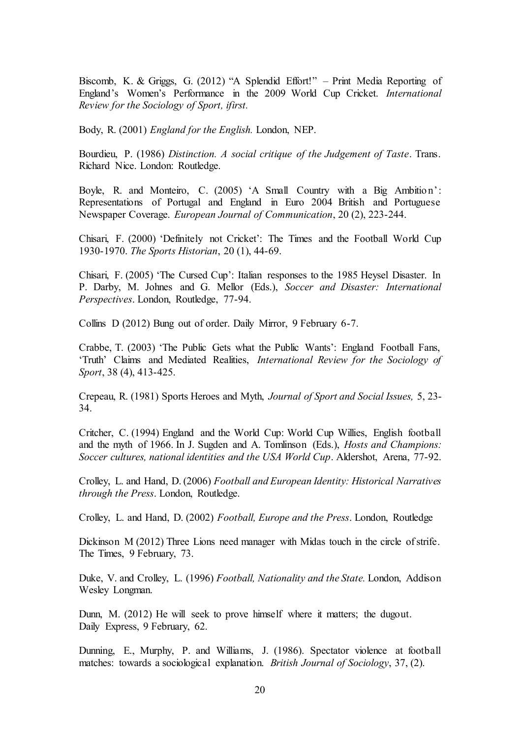Biscomb, K. & Griggs, G. (2012) "A Splendid Effort!" – Print Media Reporting of England's Women's Performance in the 2009 World Cup Cricket. *International Review for the Sociology of Sport, ifirst.* 

Body, R. (2001) *England for the English.* London, NEP.

Bourdieu, P. (1986) *Distinction. A social critique of the Judgement of Taste*. Trans. Richard Nice. London: Routledge.

Boyle, R. and Monteiro, C. (2005) 'A Small Country with a Big Ambition': Representations of Portugal and England in Euro 2004 British and Portuguese Newspaper Coverage. *European Journal of Communication*, 20 (2), 223-244.

Chisari, F. (2000) 'Definitely not Cricket': The Times and the Football World Cup 1930-1970. *The Sports Historian*, 20 (1), 44-69.

Chisari, F. (2005) 'The Cursed Cup': Italian responses to the 1985 Heysel Disaster. In P. Darby, M. Johnes and G. Mellor (Eds.), *Soccer and Disaster: International Perspectives*. London, Routledge, 77-94.

Collins D (2012) Bung out of order. Daily Mirror, 9 February 6-7.

Crabbe, T. (2003) 'The Public Gets what the Public Wants': England Football Fans, 'Truth' Claims and Mediated Realities, *International Review for the Sociology of Sport*, 38 (4), 413-425.

Crepeau, R. (1981) Sports Heroes and Myth, *Journal of Sport and Social Issues,* 5, 23- 34.

Critcher, C. (1994) England and the World Cup: World Cup Willies, English football and the myth of 1966. In J. Sugden and A. Tomlinson (Eds.), *Hosts and Champions: Soccer cultures, national identities and the USA World Cup*. Aldershot, Arena, 77-92.

Crolley, L. and Hand, D. (2006) *Football and European Identity: Historical Narratives through the Press*. London, Routledge.

Crolley, L. and Hand, D. (2002) *Football, Europe and the Press*. London, Routledge

Dickinson M (2012) Three Lions need manager with Midas touch in the circle of strife. The Times, 9 February, 73.

Duke, V. and Crolley, L. (1996) *Football, Nationality and the State.* London, Addison Wesley Longman.

Dunn, M. (2012) He will seek to prove himself where it matters; the dugout. Daily Express, 9 February, 62.

Dunning, E., Murphy, P. and Williams, J. (1986). Spectator violence at football matches: towards a sociological explanation. *British Journal of Sociology*, 37, (2).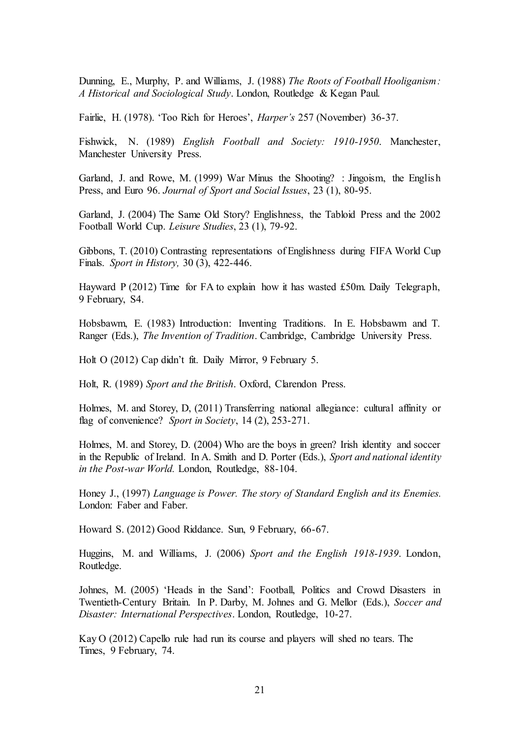Dunning, E., Murphy, P. and Williams, J. (1988) *The Roots of Football Hooliganism: A Historical and Sociological Study*. London, Routledge & Kegan Paul.

Fairlie, H. (1978). 'Too Rich for Heroes', *Harper's* 257 (November) 36-37.

Fishwick, N. (1989) *English Football and Society: 1910-1950*. Manchester, Manchester University Press.

Garland, J. and Rowe, M. (1999) War Minus the Shooting? : Jingoism, the English Press, and Euro 96. *Journal of Sport and Social Issues*, 23 (1), 80-95.

Garland, J. (2004) The Same Old Story? Englishness, the Tabloid Press and the 2002 Football World Cup. *Leisure Studies*, 23 (1), 79-92.

Gibbons, T. (2010) Contrasting representations of Englishness during FIFA World Cup Finals. *Sport in History,* 30 (3), 422-446.

Hayward P (2012) Time for FA to explain how it has wasted £50m. Daily Telegraph, 9 February, S4.

Hobsbawm, E. (1983) Introduction: Inventing Traditions. In E. Hobsbawm and T. Ranger (Eds.), *The Invention of Tradition*. Cambridge, Cambridge University Press.

Holt O (2012) Cap didn't fit. Daily Mirror, 9 February 5.

Holt, R. (1989) *Sport and the British*. Oxford, Clarendon Press.

Holmes, M. and Storey, D, (2011) Transferring national allegiance: cultural affinity or flag of convenience? *Sport in Society*, 14 (2), 253-271.

Holmes, M. and Storey, D. (2004) Who are the boys in green? Irish identity and soccer in the Republic of Ireland. In A. Smith and D. Porter (Eds.), *Sport and national identity in the Post-war World.* London, Routledge, 88-104.

Honey J., (1997) *Language is Power. The story of Standard English and its Enemies.* London: Faber and Faber.

Howard S. (2012) Good Riddance. Sun, 9 February, 66-67.

Huggins, M. and Williams, J. (2006) *Sport and the English 1918-1939*. London, Routledge.

Johnes, M. (2005) 'Heads in the Sand': Football, Politics and Crowd Disasters in Twentieth-Century Britain. In P. Darby, M. Johnes and G. Mellor (Eds.), *Soccer and Disaster: International Perspectives*. London, Routledge, 10-27.

Kay O (2012) Capello rule had run its course and players will shed no tears. The Times, 9 February, 74.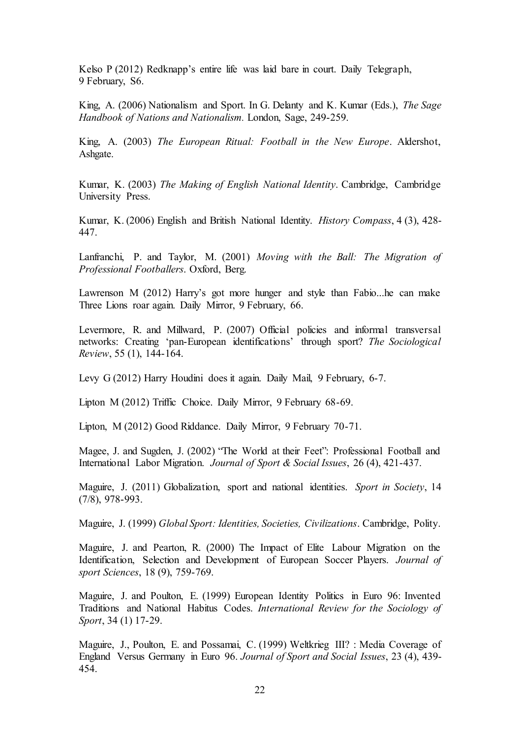Kelso P (2012) Redknapp's entire life was laid bare in court. Daily Telegraph, 9 February, S6.

King, A. (2006) Nationalism and Sport. In G. Delanty and K. Kumar (Eds.), *The Sage Handbook of Nations and Nationalism.* London, Sage, 249-259.

King, A. (2003) *The European Ritual: Football in the New Europe*. Aldershot, Ashgate.

Kumar, K. (2003) *The Making of English National Identity*. Cambridge, Cambridge University Press.

Kumar, K. (2006) English and British National Identity. *History Compass*, 4 (3), 428- 447.

Lanfranchi, P. and Taylor, M. (2001) *Moving with the Ball: The Migration of Professional Footballers*. Oxford, Berg.

Lawrenson M (2012) Harry's got more hunger and style than Fabio...he can make Three Lions roar again. Daily Mirror, 9 February, 66.

Levermore, R. and Millward, P. (2007) Official policies and informal transversal networks: Creating 'pan-European identifications' through sport? *The Sociological Review*, 55 (1), 144-164.

Levy G (2012) Harry Houdini does it again. Daily Mail, 9 February, 6-7.

Lipton M (2012) Triffic Choice. Daily Mirror, 9 February 68-69.

Lipton, M (2012) Good Riddance. Daily Mirror, 9 February 70-71.

Magee, J. and Sugden, J. (2002) "The World at their Feet": Professional Football and International Labor Migration. *Journal of Sport & Social Issues*, 26 (4), 421-437.

Maguire, J. (2011) Globalization, sport and national identities. *Sport in Society*, 14 (7/8), 978-993.

Maguire, J. (1999) *Global Sport: Identities, Societies, Civilizations*. Cambridge, Polity.

Maguire, J. and Pearton, R. (2000) The Impact of Elite Labour Migration on the Identification, Selection and Development of European Soccer Players. *Journal of sport Sciences*, 18 (9), 759-769.

Maguire, J. and Poulton, E. (1999) European Identity Politics in Euro 96: Invented Traditions and National Habitus Codes. *International Review for the Sociology of Sport*, 34 (1) 17-29.

Maguire, J., Poulton, E. and Possamai, C. (1999) Weltkrieg III? : Media Coverage of England Versus Germany in Euro 96. *Journal of Sport and Social Issues*, 23 (4), 439- 454.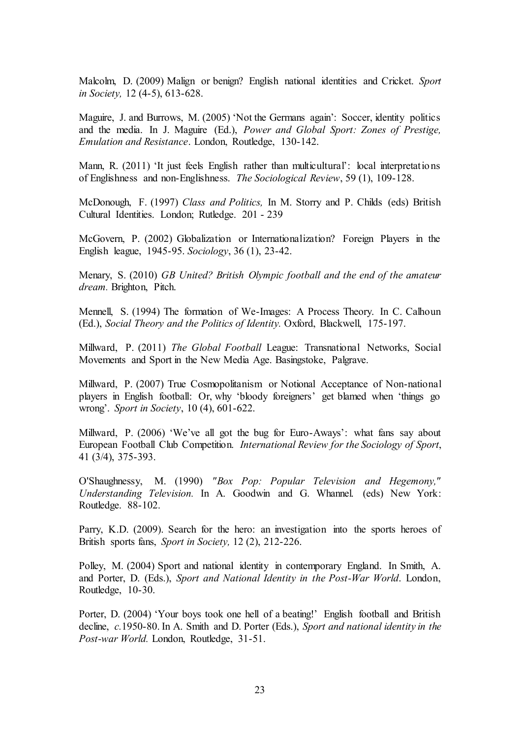Malcolm, D. (2009) Malign or benign? English national identities and Cricket. *Sport in Society,* 12 (4-5), 613-628.

Maguire, J. and Burrows, M. (2005) 'Not the Germans again': Soccer, identity politics and the media. In J. Maguire (Ed.), *Power and Global Sport: Zones of Prestige, Emulation and Resistance*. London, Routledge, 130-142.

Mann, R. (2011) 'It just feels English rather than multicultural': local interpretations of Englishness and non-Englishness. *The Sociological Review*, 59 (1), 109-128.

McDonough, F. (1997) *Class and Politics,* In M. Storry and P. Childs (eds) British Cultural Identities. London; Rutledge. 201 - 239

McGovern, P. (2002) Globalization or Internationalization? Foreign Players in the English league, 1945-95. *Sociology*, 36 (1), 23-42.

Menary, S. (2010) *GB United? British Olympic football and the end of the amateur dream.* Brighton, Pitch.

Mennell, S. (1994) The formation of We-Images: A Process Theory. In C. Calhoun (Ed.), *Social Theory and the Politics of Identity.* Oxford, Blackwell, 175-197.

Millward, P. (2011) *The Global Football* League: Transnational Networks, Social Movements and Sport in the New Media Age. Basingstoke, Palgrave.

Millward, P. (2007) True Cosmopolitanism or Notional Acceptance of Non-national players in English football: Or, why 'bloody foreigners' get blamed when 'things go wrong'. *Sport in Society*, 10 (4), 601-622.

Millward, P. (2006) 'We've all got the bug for Euro-Aways': what fans say about European Football Club Competition. *International Review for the Sociology of Sport*, 41 (3/4), 375-393.

O'Shaughnessy, M. (1990) *"Box Pop: Popular Television and Hegemony," Understanding Television.* In A. Goodwin and G. Whannel. (eds) New York: Routledge. 88-102.

Parry, K.D. (2009). Search for the hero: an investigation into the sports heroes of British sports fans, *Sport in Society,* 12 (2), 212-226.

Polley, M. (2004) Sport and national identity in contemporary England. In Smith, A. and Porter, D. (Eds.), *Sport and National Identity in the Post-War World*. London, Routledge, 10-30.

Porter, D. (2004) 'Your boys took one hell of a beating!' English football and British decline, *c.*1950-80. In A. Smith and D. Porter (Eds.), *Sport and national identity in the Post-war World.* London, Routledge, 31-51.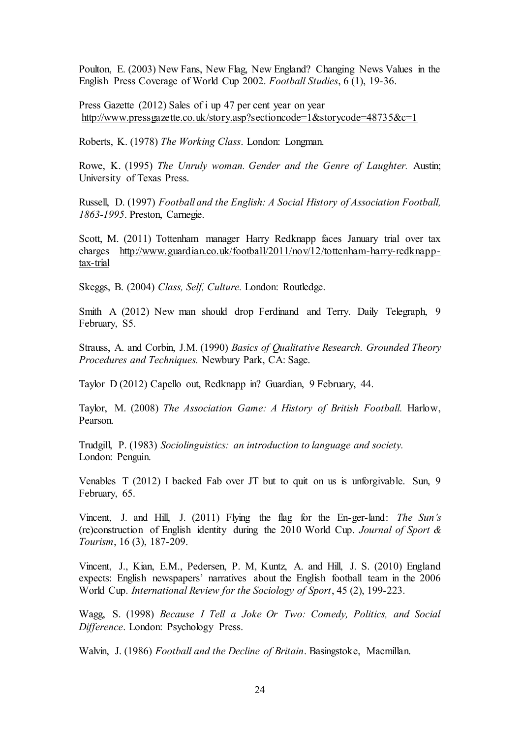Poulton, E. (2003) New Fans, New Flag, New England? Changing News Values in the English Press Coverage of World Cup 2002. *Football Studies*, 6 (1), 19-36.

Press Gazette (2012) Sales of i up 47 per cent year on year <http://www.pressgazette.co.uk/story.asp?sectioncode=1&storycode=48735&c=1>

Roberts, K. (1978) *The Working Class*. London: Longman.

Rowe, K. (1995) *The Unruly woman. Gender and the Genre of Laughter.* Austin; University of Texas Press.

Russell, D. (1997) *Football and the English: A Social History of Association Football, 1863-1995*. Preston, Carnegie.

Scott, M. (2011) Tottenham manager Harry Redknapp faces January trial over tax charges [http://www.guardian.co.uk/football/2011/nov/12/tottenham-harry-redknapp](http://www.guardian.co.uk/football/2011/nov/12/tottenham-harry-redknapp-tax-trial)[tax-trial](http://www.guardian.co.uk/football/2011/nov/12/tottenham-harry-redknapp-tax-trial)

Skeggs, B. (2004) *Class, Self, Culture.* London: Routledge.

Smith A (2012) New man should drop Ferdinand and Terry. Daily Telegraph, 9 February, S5.

Strauss, A. and Corbin, J.M. (1990) *Basics of Qualitative Research. Grounded Theory Procedures and Techniques.* Newbury Park, CA: Sage.

Taylor D (2012) Capello out, Redknapp in? Guardian, 9 February, 44.

Taylor, M. (2008) *The Association Game: A History of British Football.* Harlow, Pearson.

Trudgill, P. (1983) *Sociolinguistics: an introduction to language and society.* London: Penguin.

Venables T (2012) I backed Fab over JT but to quit on us is unforgivable. Sun, 9 February, 65.

Vincent, J. and Hill, J. (2011) Flying the flag for the En-ger-land: *The Sun's*  (re)construction of English identity during the 2010 World Cup. *Journal of Sport & Tourism*, 16 (3), 187-209.

Vincent, J., Kian, E.M., Pedersen, P. M, Kuntz, A. and Hill, J. S. (2010) England expects: English newspapers' narratives about the English football team in the 2006 World Cup. *International Review for the Sociology of Sport*, 45 (2), 199-223.

Wagg, S. (1998) *Because I Tell a Joke Or Two: Comedy, Politics, and Social Difference*. London: Psychology Press.

Walvin, J. (1986) *Football and the Decline of Britain*. Basingstoke, Macmillan.